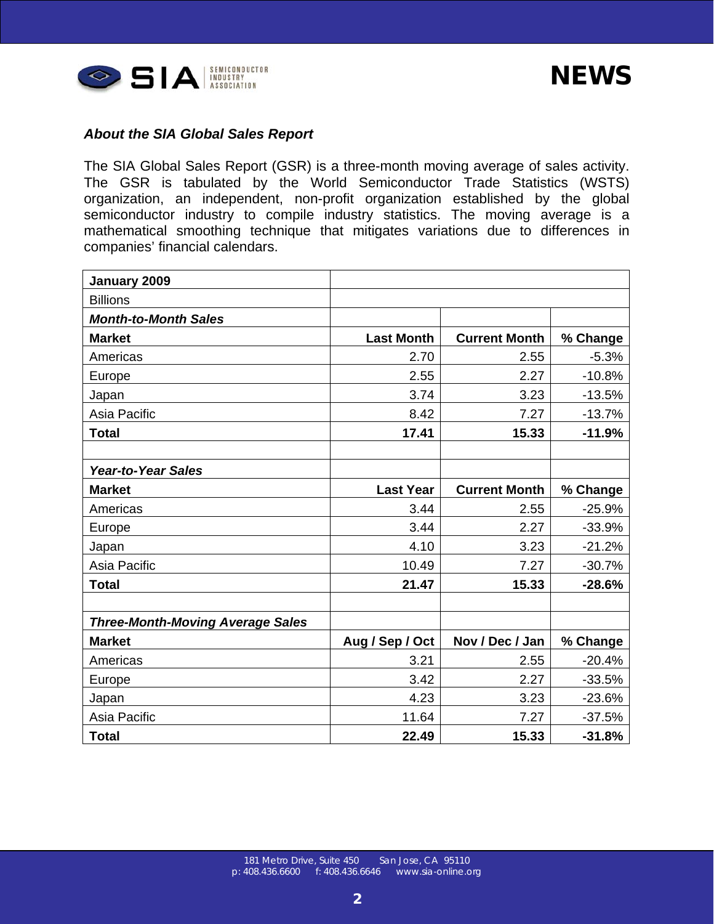| January 2009                            |                   |                      |          |
|-----------------------------------------|-------------------|----------------------|----------|
| <b>Billions</b>                         |                   |                      |          |
| <b>Month-to-Month Sales</b>             |                   |                      |          |
| <b>Market</b>                           | <b>Last Month</b> | <b>Current Month</b> | % Change |
| Americas                                | 2.70              | 2.55                 | $-5.3%$  |
| Europe                                  | 2.55              | 2.27                 | $-10.8%$ |
| Japan                                   | 3.74              | 3.23                 | $-13.5%$ |
| Asia Pacific                            | 8.42              | 7.27                 | $-13.7%$ |
| <b>Total</b>                            | 17.41             | 15.33                | $-11.9%$ |
|                                         |                   |                      |          |
| <b>Year-to-Year Sales</b>               |                   |                      |          |
| <b>Market</b>                           | <b>Last Year</b>  | <b>Current Month</b> | % Change |
| Americas                                | 3.44              | 2.55                 | $-25.9%$ |
| Europe                                  | 3.44              | 2.27                 | $-33.9%$ |
| Japan                                   | 4.10              | 3.23                 | $-21.2%$ |
| Asia Pacific                            | 10.49             | 7.27                 | $-30.7%$ |
| <b>Total</b>                            | 21.47             | 15.33                | $-28.6%$ |
|                                         |                   |                      |          |
| <b>Three-Month-Moving Average Sales</b> |                   |                      |          |
| <b>Market</b>                           | Aug / Sep / Oct   | Nov / Dec / Jan      | % Change |
| Americas                                | 3.21              | 2.55                 | $-20.4%$ |
| Europe                                  | 3.42              | 2.27                 | $-33.5%$ |
| Japan                                   | 4.23              | 3.23                 | $-23.6%$ |
| Asia Pacific                            | 11.64             | 7.27                 | $-37.5%$ |
| <b>Total</b>                            | 22.49             | 15.33                | $-31.8%$ |